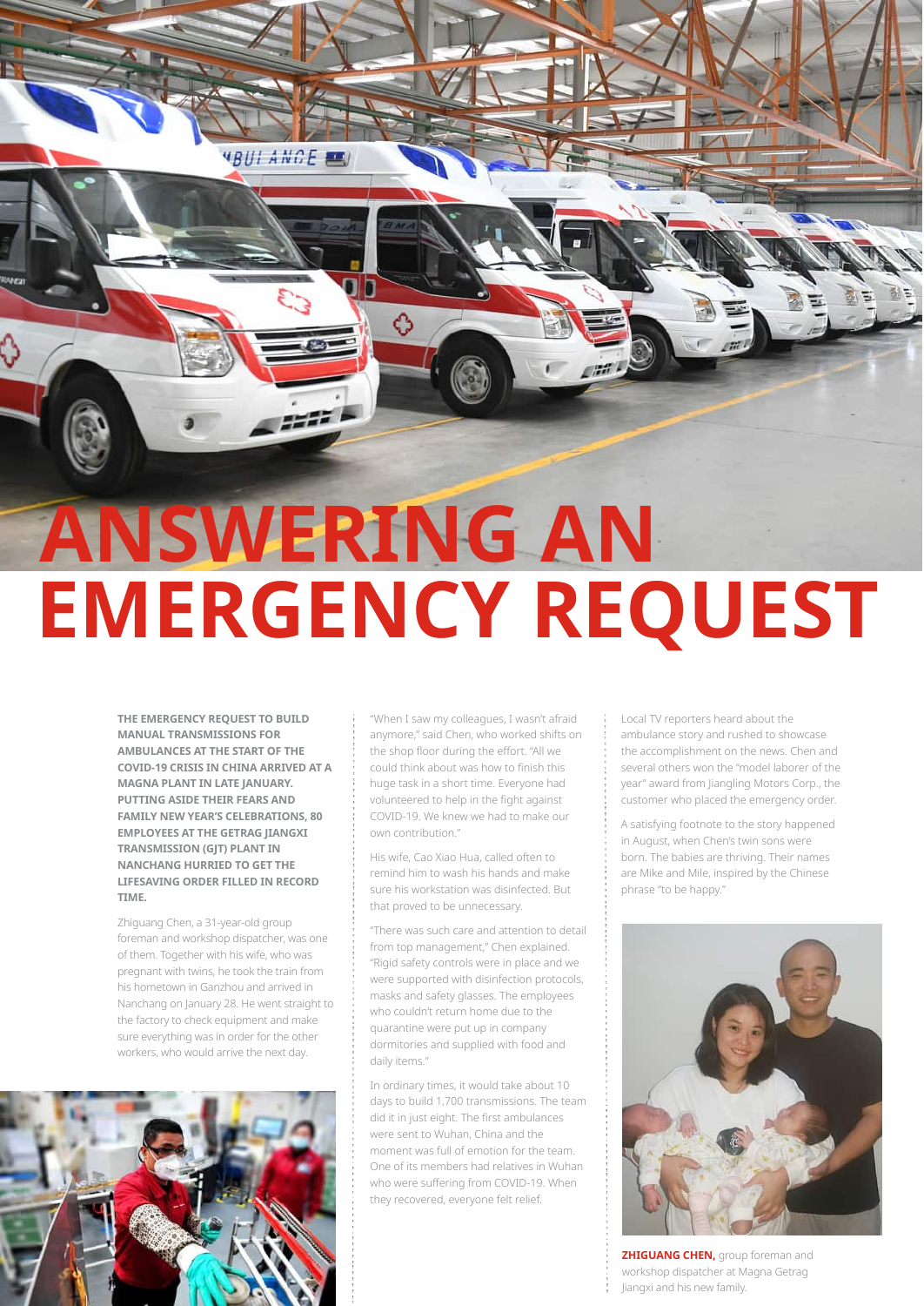**ANSWERING AN EMERGENCY REQUEST** 

♦

a second

THE EMERGENCY REQUEST TO BUILD **MANUAL TRANSMISSIONS FOR** AMBULANCES AT THE START OF THE COVID-19 CRISIS IN CHINA ARRIVED AT A MAGNA PLANT IN LATE JANUARY. PUTTING ASIDE THEIR FEARS AND **FAMILY NEW YEAR'S CELEBRATIONS, 80 EMPLOYEES AT THE GETRAG IIANGXI TRANSMISSION (GJT) PLANT IN** NANCHANG HURRIED TO GET THE LIFESAVING ORDER FILLED IN RECORD TIME.

Zhiguang Chen, a 31-year-old group foreman and workshop dispatcher, was one of them. Together with his wife, who was pregnant with twins, he took the train from his hometown in Ganzhou and arrived in Nanchang on January 28. He went straight to the factory to check equipment and make sure everything was in order for the other workers, who would arrive the next day.



"When I saw my colleagues, I wasn't afraid anymore," said Chen, who worked shifts on the shop floor during the effort. "All we could think about was how to finish this huge task in a short time. Everyone had volunteered to help in the fight against COVID-19. We knew we had to make our own contribution"

His wife, Cao Xiao Hua, called often to remind him to wash his hands and make sure his workstation was disinfected. But that proved to be unnecessary.

"There was such care and attention to detail from top management," Chen explained. "Rigid safety controls were in place and we were supported with disinfection protocols, masks and safety glasses. The employees who couldn't return home due to the quarantine were put up in company dormitories and supplied with food and daily items."

In ordinary times, it would take about 10 days to build 1,700 transmissions. The team did it in just eight. The first ambulances were sent to Wuhan, China and the moment was full of emotion for the team. One of its members had relatives in Wuhan who were suffering from COVID-19. When they recovered, everyone felt relief.

Local TV reporters heard about the ambulance story and rushed to showcase the accomplishment on the news. Chen and several others won the "model laborer of the year" award from Jiangling Motors Corp., the customer who placed the emergency order.

A satisfying footnote to the story happened in August, when Chen's twin sons were born. The babies are thriving. Their names are Mike and Mile, inspired by the Chinese phrase "to be happy."



**ZHIGUANG CHEN, group foreman and** workshop dispatcher at Magna Getrag Jiangxi and his new family